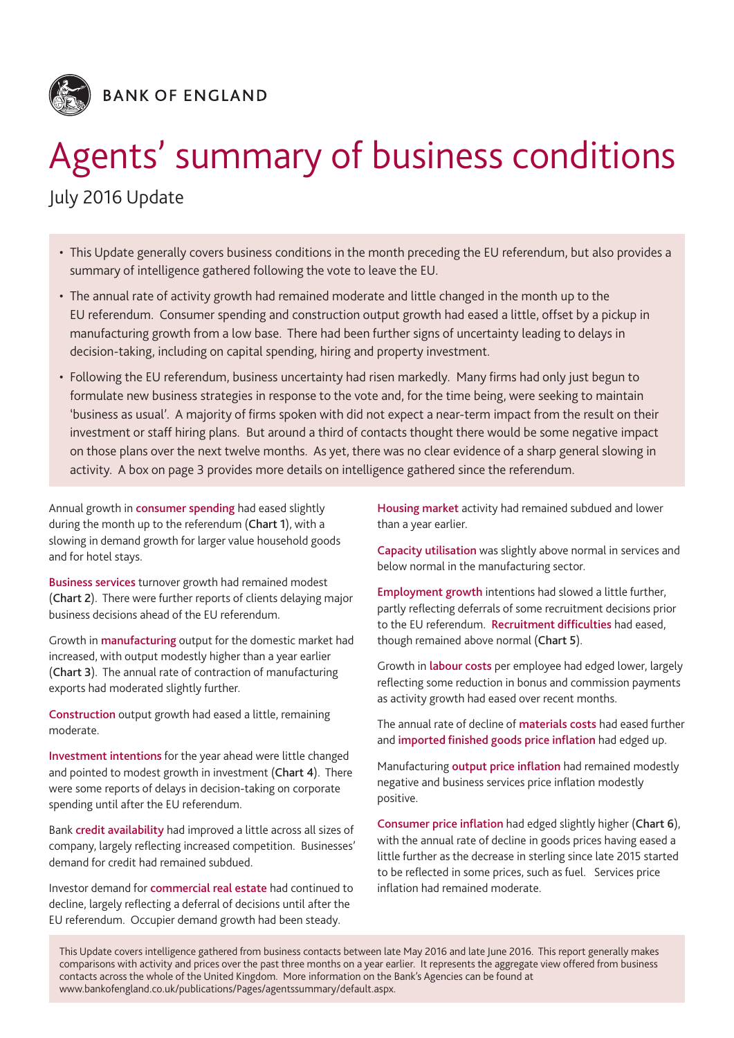

# Agents' summary of business conditions

## July 2016 Update

- • This Update generally covers business conditions in the month preceding the EU referendum, but also provides a summary of intelligence gathered following the vote to leave the EU.
- • The annual rate of activity growth had remained moderate and little changed in the month up to the EU referendum. Consumer spending and construction output growth had eased a little, offset by a pickup in manufacturing growth from a low base. There had been further signs of uncertainty leading to delays in decision-taking, including on capital spending, hiring and property investment.
- • Following the EU referendum, business uncertainty had risen markedly. Many firms had only just begun to formulate new business strategies in response to the vote and, for the time being, were seeking to maintain 'business as usual'. A majority of firms spoken with did not expect a near-term impact from the result on their investment or staff hiring plans. But around a third of contacts thought there would be some negative impact on those plans over the next twelve months. As yet, there was no clear evidence of a sharp general slowing in activity. A box on page 3 provides more details on intelligence gathered since the referendum.

Annual growth in consumer spending had eased slightly during the month up to the referendum (Chart 1), with a slowing in demand growth for larger value household goods and for hotel stays.

Business services turnover growth had remained modest (Chart 2). There were further reports of clients delaying major business decisions ahead of the EU referendum.

Growth in manufacturing output for the domestic market had increased, with output modestly higher than a year earlier (Chart 3). The annual rate of contraction of manufacturing exports had moderated slightly further.

Construction output growth had eased a little, remaining moderate.

Investment intentions for the year ahead were little changed and pointed to modest growth in investment (Chart 4). There were some reports of delays in decision-taking on corporate spending until after the EU referendum.

Bank credit availability had improved a little across all sizes of company, largely reflecting increased competition. Businesses' demand for credit had remained subdued.

Investor demand for commercial real estate had continued to decline, largely reflecting a deferral of decisions until after the EU referendum. Occupier demand growth had been steady.

Housing market activity had remained subdued and lower than a year earlier.

Capacity utilisation was slightly above normal in services and below normal in the manufacturing sector.

Employment growth intentions had slowed a little further, partly reflecting deferrals of some recruitment decisions prior to the EU referendum. Recruitment difficulties had eased, though remained above normal (Chart 5).

Growth in labour costs per employee had edged lower, largely reflecting some reduction in bonus and commission payments as activity growth had eased over recent months.

The annual rate of decline of materials costs had eased further and imported finished goods price inflation had edged up.

Manufacturing output price inflation had remained modestly negative and business services price inflation modestly positive.

Consumer price inflation had edged slightly higher (Chart 6), with the annual rate of decline in goods prices having eased a little further as the decrease in sterling since late 2015 started to be reflected in some prices, such as fuel. Services price inflation had remained moderate.

This Update covers intelligence gathered from business contacts between late May 2016 and late June 2016. This report generally makes comparisons with activity and prices over the past three months on a year earlier. It represents the aggregate view offered from business contacts across the whole of the United Kingdom. More information on the Bank's Agencies can be found at [www.bankofengland.co.uk/publications/Pages/agentssummary/default.aspx](http://www.bankofengland.co.uk/publications/Pages/agentssummary/default.aspx).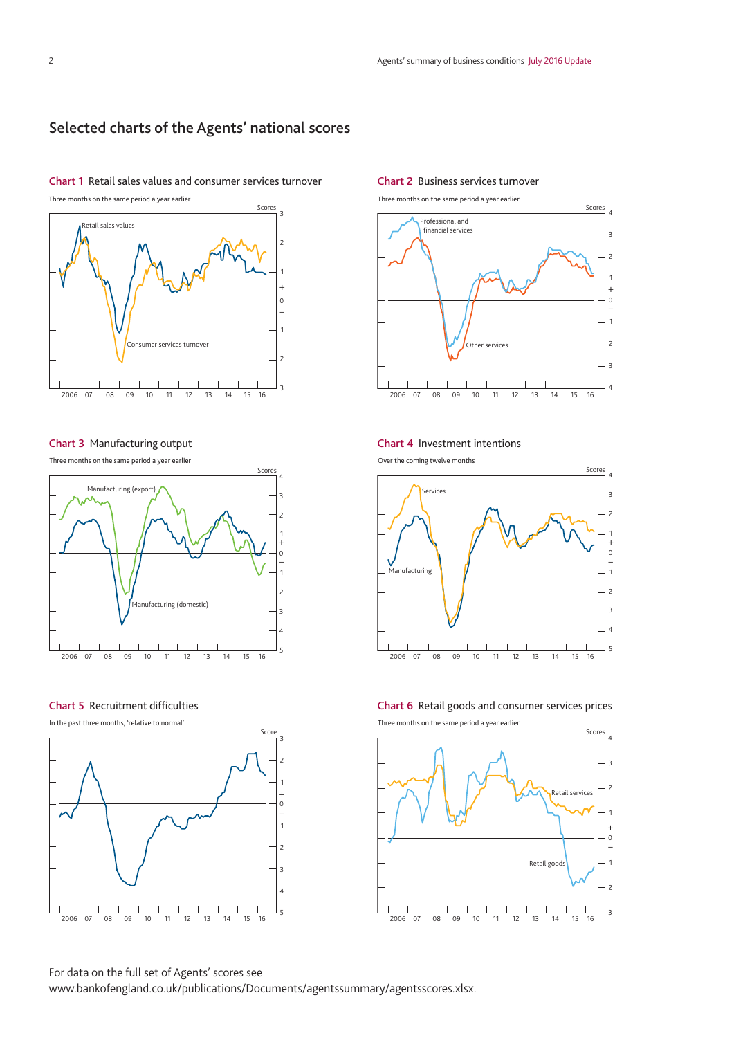## Selected charts of the Agents' national scores

#### Chart 1 Retail sales values and consumer services turnover

Three months on the same period a year earlier



#### Chart 3 Manufacturing output

Three months on the same period a year earlier



#### Chart 5 Recruitment difficulties

In the past three months, 'relative to normal'



#### Chart 2 Business services turnover

Three months on the same period a year earlier



#### Chart 4 Investment intentions

Over the coming twelve months



Chart 6 Retail goods and consumer services prices

Three months on the same period a year earlier



For data on the full set of Agents' scores see [www.bankofengland.co.uk/publications/Documents/agentssummary/agentsscores.xlsx](http://www.bankofengland.co.uk/publications/Documents/agentssummary/agentsscores.xlsx).